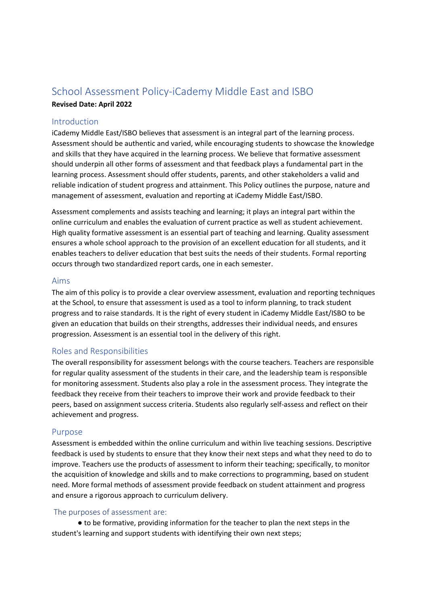# School Assessment Policy‐iCademy Middle East and ISBO **Revised Date: April 2022**

# Introduction

iCademy Middle East/ISBO believes that assessment is an integral part of the learning process. Assessment should be authentic and varied, while encouraging students to showcase the knowledge and skills that they have acquired in the learning process. We believe that formative assessment should underpin all other forms of assessment and that feedback plays a fundamental part in the learning process. Assessment should offer students, parents, and other stakeholders a valid and reliable indication of student progress and attainment. This Policy outlines the purpose, nature and management of assessment, evaluation and reporting at iCademy Middle East/ISBO.

Assessment complements and assists teaching and learning; it plays an integral part within the online curriculum and enables the evaluation of current practice as well as student achievement. High quality formative assessment is an essential part of teaching and learning. Quality assessment ensures a whole school approach to the provision of an excellent education for all students, and it enables teachers to deliver education that best suits the needs of their students. Formal reporting occurs through two standardized report cards, one in each semester.

## Aims

The aim of this policy is to provide a clear overview assessment, evaluation and reporting techniques at the School, to ensure that assessment is used as a tool to inform planning, to track student progress and to raise standards. It is the right of every student in iCademy Middle East/ISBO to be given an education that builds on their strengths, addresses their individual needs, and ensures progression. Assessment is an essential tool in the delivery of this right.

# Roles and Responsibilities

The overall responsibility for assessment belongs with the course teachers. Teachers are responsible for regular quality assessment of the students in their care, and the leadership team is responsible for monitoring assessment. Students also play a role in the assessment process. They integrate the feedback they receive from their teachers to improve their work and provide feedback to their peers, based on assignment success criteria. Students also regularly self‐assess and reflect on their achievement and progress.

# Purpose

Assessment is embedded within the online curriculum and within live teaching sessions. Descriptive feedback is used by students to ensure that they know their next steps and what they need to do to improve. Teachers use the products of assessment to inform their teaching; specifically, to monitor the acquisition of knowledge and skills and to make corrections to programming, based on student need. More formal methods of assessment provide feedback on student attainment and progress and ensure a rigorous approach to curriculum delivery.

# The purposes of assessment are:

● to be formative, providing information for the teacher to plan the next steps in the student's learning and support students with identifying their own next steps;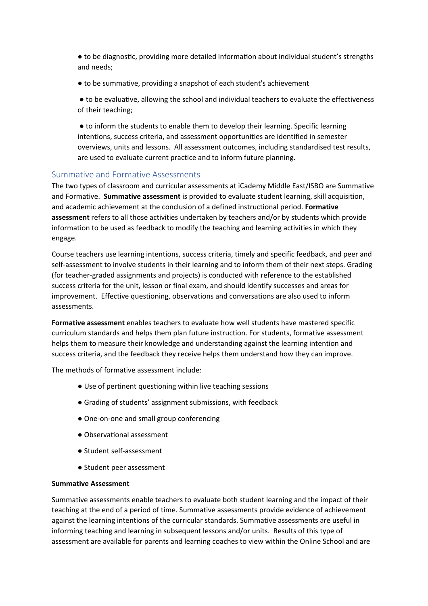● to be diagnostic, providing more detailed information about individual student's strengths and needs;

● to be summative, providing a snapshot of each student's achievement

● to be evaluaƟve, allowing the school and individual teachers to evaluate the effectiveness of their teaching;

● to inform the students to enable them to develop their learning. Specific learning intentions, success criteria, and assessment opportunities are identified in semester overviews, units and lessons. All assessment outcomes, including standardised test results, are used to evaluate current practice and to inform future planning.

# Summative and Formative Assessments

The two types of classroom and curricular assessments at iCademy Middle East/ISBO are Summative and Formative. **Summative assessment** is provided to evaluate student learning, skill acquisition, and academic achievement at the conclusion of a defined instructional period. **Formative assessment** refers to all those activities undertaken by teachers and/or by students which provide information to be used as feedback to modify the teaching and learning activities in which they engage.

Course teachers use learning intentions, success criteria, timely and specific feedback, and peer and self-assessment to involve students in their learning and to inform them of their next steps. Grading (for teacher‐graded assignments and projects) is conducted with reference to the established success criteria for the unit, lesson or final exam, and should identify successes and areas for improvement. Effective questioning, observations and conversations are also used to inform assessments.

**Formative assessment** enables teachers to evaluate how well students have mastered specific curriculum standards and helps them plan future instruction. For students, formative assessment helps them to measure their knowledge and understanding against the learning intention and success criteria, and the feedback they receive helps them understand how they can improve.

The methods of formative assessment include:

- Use of pertinent questioning within live teaching sessions
- Grading of students' assignment submissions, with feedback
- One-on-one and small group conferencing
- ObservaƟonal assessment
- Student self-assessment
- Student peer assessment

#### **Summative Assessment**

Summative assessments enable teachers to evaluate both student learning and the impact of their teaching at the end of a period of time. Summative assessments provide evidence of achievement against the learning intentions of the curricular standards. Summative assessments are useful in informing teaching and learning in subsequent lessons and/or units. Results of this type of assessment are available for parents and learning coaches to view within the Online School and are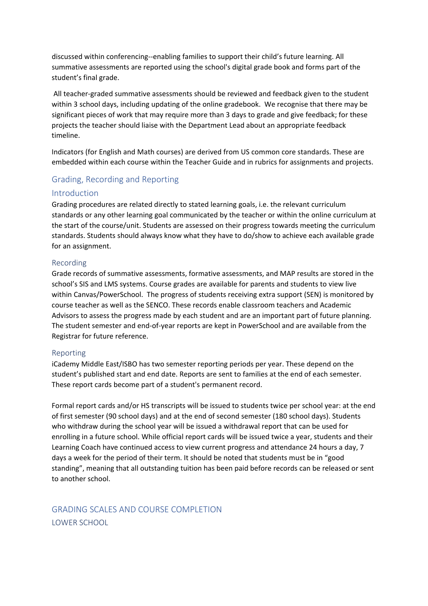discussed within conferencing‐‐enabling families to support their child's future learning. All summative assessments are reported using the school's digital grade book and forms part of the student's final grade.

All teacher‐graded summative assessments should be reviewed and feedback given to the student within 3 school days, including updating of the online gradebook. We recognise that there may be significant pieces of work that may require more than 3 days to grade and give feedback; for these projects the teacher should liaise with the Department Lead about an appropriate feedback timeline.

Indicators (for English and Math courses) are derived from US common core standards. These are embedded within each course within the Teacher Guide and in rubrics for assignments and projects.

# Grading, Recording and Reporting

#### Introduction

Grading procedures are related directly to stated learning goals, i.e. the relevant curriculum standards or any other learning goal communicated by the teacher or within the online curriculum at the start of the course/unit. Students are assessed on their progress towards meeting the curriculum standards. Students should always know what they have to do/show to achieve each available grade for an assignment.

#### Recording

Grade records of summative assessments, formative assessments, and MAP results are stored in the school's SIS and LMS systems. Course grades are available for parents and students to view live within Canvas/PowerSchool. The progress of students receiving extra support (SEN) is monitored by course teacher as well as the SENCO. These records enable classroom teachers and Academic Advisors to assess the progress made by each student and are an important part of future planning. The student semester and end‐of‐year reports are kept in PowerSchool and are available from the Registrar for future reference.

#### Reporting

iCademy Middle East/ISBO has two semester reporting periods per year. These depend on the student's published start and end date. Reports are sent to families at the end of each semester. These report cards become part of a student's permanent record.

Formal report cards and/or HS transcripts will be issued to students twice per school year: at the end of first semester (90 school days) and at the end of second semester (180 school days). Students who withdraw during the school year will be issued a withdrawal report that can be used for enrolling in a future school. While official report cards will be issued twice a year, students and their Learning Coach have continued access to view current progress and attendance 24 hours a day, 7 days a week for the period of their term. It should be noted that students must be in "good standing", meaning that all outstanding tuition has been paid before records can be released or sent to another school.

GRADING SCALES AND COURSE COMPLETION LOWER SCHOOL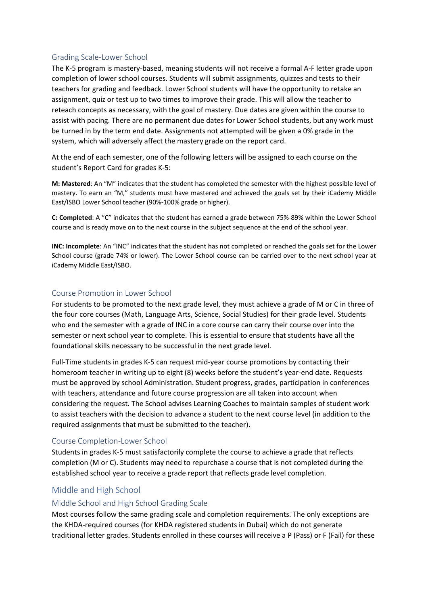# Grading Scale‐Lower School

The K‐5 program is mastery‐based, meaning students will not receive a formal A‐F letter grade upon completion of lower school courses. Students will submit assignments, quizzes and tests to their teachers for grading and feedback. Lower School students will have the opportunity to retake an assignment, quiz or test up to two times to improve their grade. This will allow the teacher to reteach concepts as necessary, with the goal of mastery. Due dates are given within the course to assist with pacing. There are no permanent due dates for Lower School students, but any work must be turned in by the term end date. Assignments not attempted will be given a 0% grade in the system, which will adversely affect the mastery grade on the report card.

At the end of each semester, one of the following letters will be assigned to each course on the student's Report Card for grades K‐5:

**M: Mastered**: An "M" indicates that the student has completed the semester with the highest possible level of mastery. To earn an "M," students must have mastered and achieved the goals set by their iCademy Middle East/ISBO Lower School teacher (90%‐100% grade or higher).

**C: Completed**: A "C" indicates that the student has earned a grade between 75%‐89% within the Lower School course and is ready move on to the next course in the subject sequence at the end of the school year.

**INC: Incomplete**: An "INC" indicates that the student has not completed or reached the goals set for the Lower School course (grade 74% or lower). The Lower School course can be carried over to the next school year at iCademy Middle East/ISBO.

## Course Promotion in Lower School

For students to be promoted to the next grade level, they must achieve a grade of M or C in three of the four core courses (Math, Language Arts, Science, Social Studies) for their grade level. Students who end the semester with a grade of INC in a core course can carry their course over into the semester or next school year to complete. This is essential to ensure that students have all the foundational skills necessary to be successful in the next grade level.

Full-Time students in grades K-5 can request mid-year course promotions by contacting their homeroom teacher in writing up to eight (8) weeks before the student's year-end date. Requests must be approved by school Administration. Student progress, grades, participation in conferences with teachers, attendance and future course progression are all taken into account when considering the request. The School advises Learning Coaches to maintain samples of student work to assist teachers with the decision to advance a student to the next course level (in addition to the required assignments that must be submitted to the teacher).

#### Course Completion‐Lower School

Students in grades K‐5 must satisfactorily complete the course to achieve a grade that reflects completion (M or C). Students may need to repurchase a course that is not completed during the established school year to receive a grade report that reflects grade level completion.

# Middle and High School

#### Middle School and High School Grading Scale

Most courses follow the same grading scale and completion requirements. The only exceptions are the KHDA‐required courses (for KHDA registered students in Dubai) which do not generate traditional letter grades. Students enrolled in these courses will receive a P (Pass) or F (Fail) for these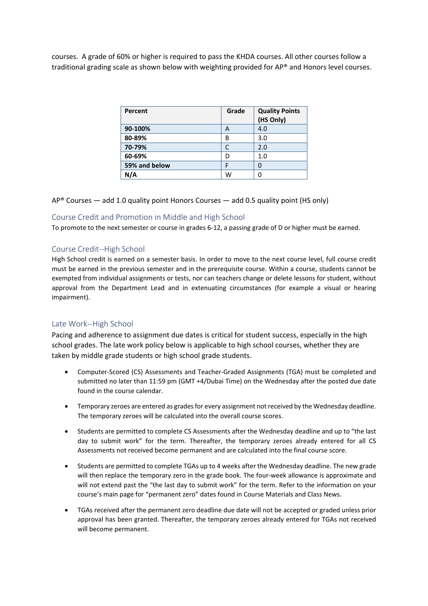courses. A grade of 60% or higher is required to pass the KHDA courses. All other courses follow a traditional grading scale as shown below with weighting provided for AP® and Honors level courses.

| Percent       | Grade | <b>Quality Points</b><br>(HS Only) |
|---------------|-------|------------------------------------|
| 90-100%       | А     | 4.0                                |
| 80-89%        | B     | 3.0                                |
| 70-79%        |       | 2.0                                |
| 60-69%        | D     | 1.0                                |
| 59% and below | с     | O                                  |
| N/A           | w     |                                    |

 $AP^{\circ}$  Courses — add 1.0 quality point Honors Courses — add 0.5 quality point (HS only)

#### Course Credit and Promotion in Middle and High School

To promote to the next semester or course in grades 6‐12, a passing grade of D or higher must be earned.

#### Course Credit‐‐High School

High School credit is earned on a semester basis. In order to move to the next course level, full course credit must be earned in the previous semester and in the prerequisite course. Within a course, students cannot be exempted from individual assignments or tests, nor can teachers change or delete lessons for student, without approval from the Department Lead and in extenuating circumstances (for example a visual or hearing impairment).

#### Late Work‐‐High School

Pacing and adherence to assignment due dates is critical for student success, especially in the high school grades. The late work policy below is applicable to high school courses, whether they are taken by middle grade students or high school grade students.

- Computer‐Scored (CS) Assessments and Teacher‐Graded Assignments (TGA) must be completed and submitted no later than 11:59 pm (GMT +4/Dubai Time) on the Wednesday after the posted due date found in the course calendar.
- Temporary zeroes are entered as gradesfor every assignment not received by the Wednesday deadline. The temporary zeroes will be calculated into the overall course scores.
- Students are permitted to complete CS Assessments after the Wednesday deadline and up to "the last day to submit work" for the term. Thereafter, the temporary zeroes already entered for all CS Assessments not received become permanent and are calculated into the final course score.
- Students are permitted to complete TGAs up to 4 weeks after the Wednesday deadline. The new grade will then replace the temporary zero in the grade book. The four-week allowance is approximate and will not extend past the "the last day to submit work" for the term. Refer to the information on your course's main page for "permanent zero" dates found in Course Materials and Class News.
- TGAs received after the permanent zero deadline due date will not be accepted or graded unless prior approval has been granted. Thereafter, the temporary zeroes already entered for TGAs not received will become permanent.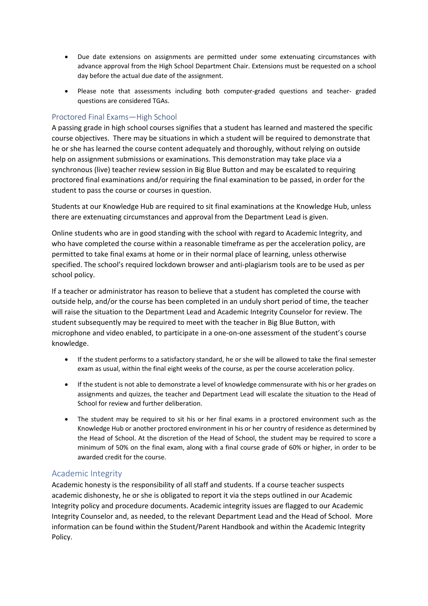- Due date extensions on assignments are permitted under some extenuating circumstances with advance approval from the High School Department Chair. Extensions must be requested on a school day before the actual due date of the assignment.
- Please note that assessments including both computer-graded questions and teacher- graded questions are considered TGAs.

# Proctored Final Exams—High School

A passing grade in high school courses signifies that a student has learned and mastered the specific course objectives. There may be situations in which a student will be required to demonstrate that he or she has learned the course content adequately and thoroughly, without relying on outside help on assignment submissions or examinations. This demonstration may take place via a synchronous (live) teacher review session in Big Blue Button and may be escalated to requiring proctored final examinations and/or requiring the final examination to be passed, in order for the student to pass the course or courses in question.

Students at our Knowledge Hub are required to sit final examinations at the Knowledge Hub, unless there are extenuating circumstances and approval from the Department Lead is given.

Online students who are in good standing with the school with regard to Academic Integrity, and who have completed the course within a reasonable timeframe as per the acceleration policy, are permitted to take final exams at home or in their normal place of learning, unless otherwise specified. The school's required lockdown browser and anti‐plagiarism tools are to be used as per school policy.

If a teacher or administrator has reason to believe that a student has completed the course with outside help, and/or the course has been completed in an unduly short period of time, the teacher will raise the situation to the Department Lead and Academic Integrity Counselor for review. The student subsequently may be required to meet with the teacher in Big Blue Button, with microphone and video enabled, to participate in a one‐on‐one assessment of the student's course knowledge.

- If the student performs to a satisfactory standard, he or she will be allowed to take the final semester exam as usual, within the final eight weeks of the course, as per the course acceleration policy.
- If the student is not able to demonstrate a level of knowledge commensurate with his or her grades on assignments and quizzes, the teacher and Department Lead will escalate the situation to the Head of School for review and further deliberation.
- The student may be required to sit his or her final exams in a proctored environment such as the Knowledge Hub or another proctored environment in his or her country of residence as determined by the Head of School. At the discretion of the Head of School, the student may be required to score a minimum of 50% on the final exam, along with a final course grade of 60% or higher, in order to be awarded credit for the course.

# Academic Integrity

Academic honesty is the responsibility of all staff and students. If a course teacher suspects academic dishonesty, he or she is obligated to report it via the steps outlined in our Academic Integrity policy and procedure documents. Academic integrity issues are flagged to our Academic Integrity Counselor and, as needed, to the relevant Department Lead and the Head of School. More information can be found within the Student/Parent Handbook and within the Academic Integrity Policy.